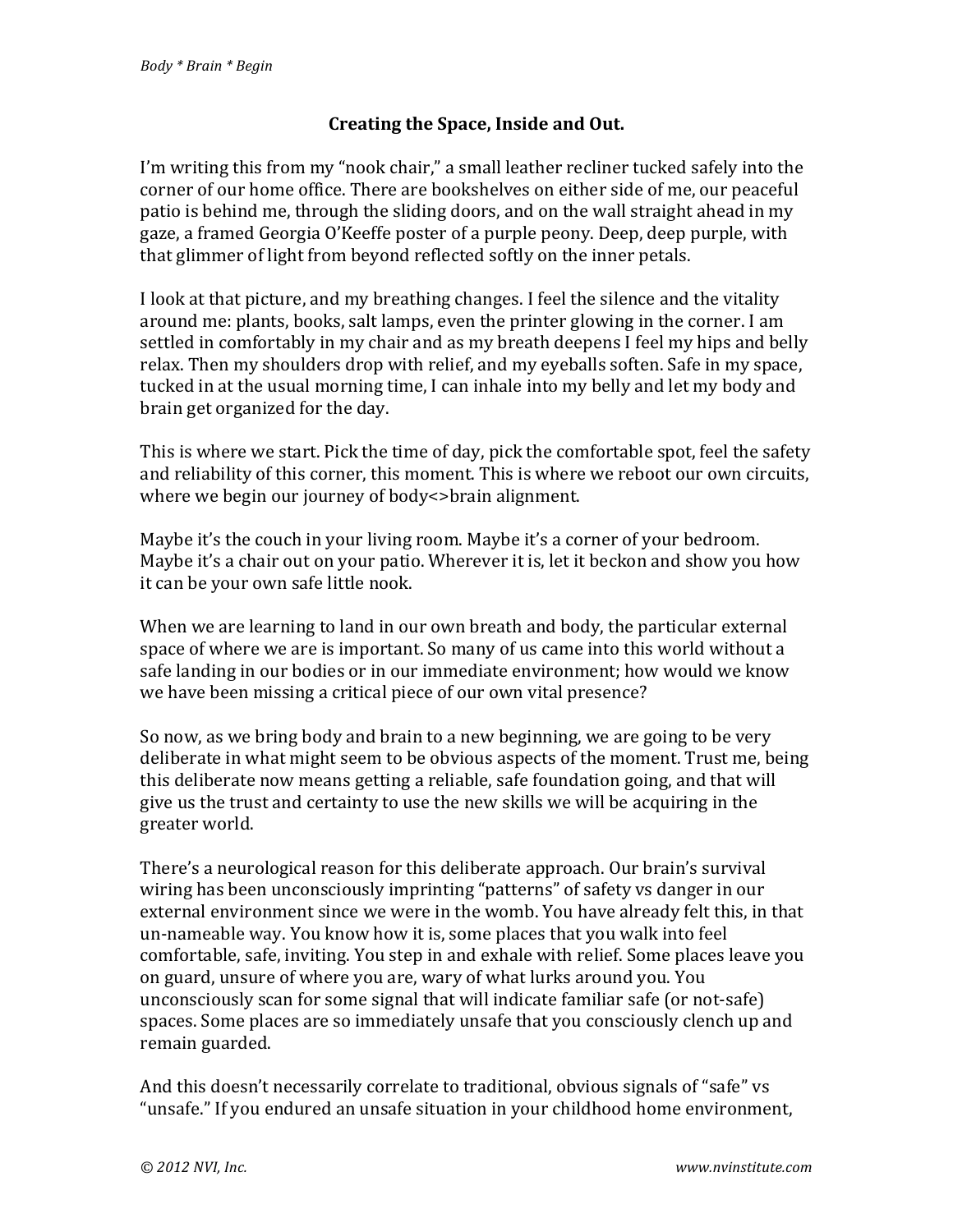## **Creating the Space, Inside and Out.**

I'm writing this from my "nook chair," a small leather recliner tucked safely into the corner of our home office. There are bookshelves on either side of me, our peaceful patio is behind me, through the sliding doors, and on the wall straight ahead in my gaze, a framed Georgia O'Keeffe poster of a purple peony. Deep, deep purple, with that glimmer of light from beyond reflected softly on the inner petals.

I look at that picture, and my breathing changes. I feel the silence and the vitality around me: plants, books, salt lamps, even the printer glowing in the corner. I am settled in comfortably in my chair and as my breath deepens I feel my hips and belly relax. Then my shoulders drop with relief, and my eyeballs soften. Safe in my space, tucked in at the usual morning time, I can inhale into my belly and let my body and brain get organized for the day.

This is where we start. Pick the time of day, pick the comfortable spot, feel the safety and reliability of this corner, this moment. This is where we reboot our own circuits, where we begin our journey of body <>brain alignment.

Maybe it's the couch in your living room. Maybe it's a corner of your bedroom. Maybe it's a chair out on your patio. Wherever it is, let it beckon and show you how it can be your own safe little nook.

When we are learning to land in our own breath and body, the particular external space of where we are is important. So many of us came into this world without a safe landing in our bodies or in our immediate environment; how would we know we have been missing a critical piece of our own vital presence?

So now, as we bring body and brain to a new beginning, we are going to be very deliberate in what might seem to be obvious aspects of the moment. Trust me, being this deliberate now means getting a reliable, safe foundation going, and that will give us the trust and certainty to use the new skills we will be acquiring in the greater world.

There's a neurological reason for this deliberate approach. Our brain's survival wiring has been unconsciously imprinting "patterns" of safety vs danger in our external environment since we were in the womb. You have already felt this, in that un-nameable way. You know how it is, some places that you walk into feel comfortable, safe, inviting. You step in and exhale with relief. Some places leave you on guard, unsure of where you are, wary of what lurks around you. You unconsciously scan for some signal that will indicate familiar safe (or not-safe) spaces. Some places are so immediately unsafe that you consciously clench up and remain guarded.

And this doesn't necessarily correlate to traditional, obvious signals of "safe" vs "unsafe." If you endured an unsafe situation in your childhood home environment,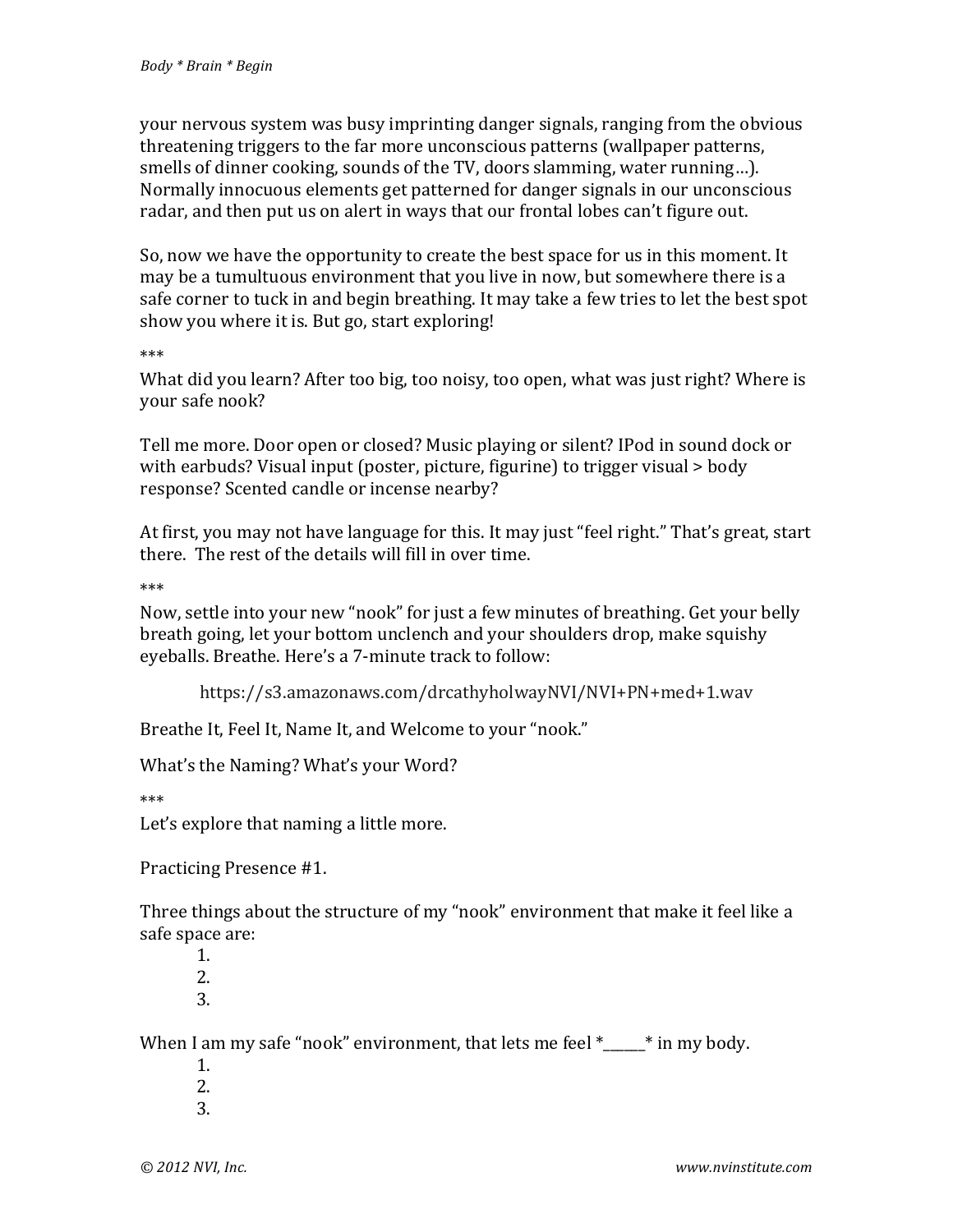your nervous system was busy imprinting danger signals, ranging from the obvious threatening triggers to the far more unconscious patterns (wallpaper patterns, smells of dinner cooking, sounds of the TV, doors slamming, water running...). Normally innocuous elements get patterned for danger signals in our unconscious radar, and then put us on alert in ways that our frontal lobes can't figure out.

So, now we have the opportunity to create the best space for us in this moment. It may be a tumultuous environment that you live in now, but somewhere there is a safe corner to tuck in and begin breathing. It may take a few tries to let the best spot show you where it is. But go, start exploring!

\*\*\*

What did you learn? After too big, too noisy, too open, what was just right? Where is your safe nook?

Tell me more. Door open or closed? Music playing or silent? IPod in sound dock or with earbuds? Visual input (poster, picture, figurine) to trigger visual  $>$  body response? Scented candle or incense nearby?

At first, you may not have language for this. It may just "feel right." That's great, start there. The rest of the details will fill in over time.

\*\*\*

Now, settle into your new "nook" for just a few minutes of breathing. Get your belly breath going, let your bottom unclench and your shoulders drop, make squishy eyeballs. Breathe. Here's a 7-minute track to follow:

https://s3.amazonaws.com/drcathyholwayNVI/NVI+PN+med+1.wav

Breathe It, Feel It, Name It, and Welcome to your "nook."

What's the Naming? What's your Word?

\*\*\*

Let's explore that naming a little more.

Practicing Presence #1.

Three things about the structure of my "nook" environment that make it feel like a safe space are:

1. 2. 3.

When I am my safe "nook" environment, that lets me feel  $*$   $*$  in my body.

- 1. 2.
- 3.